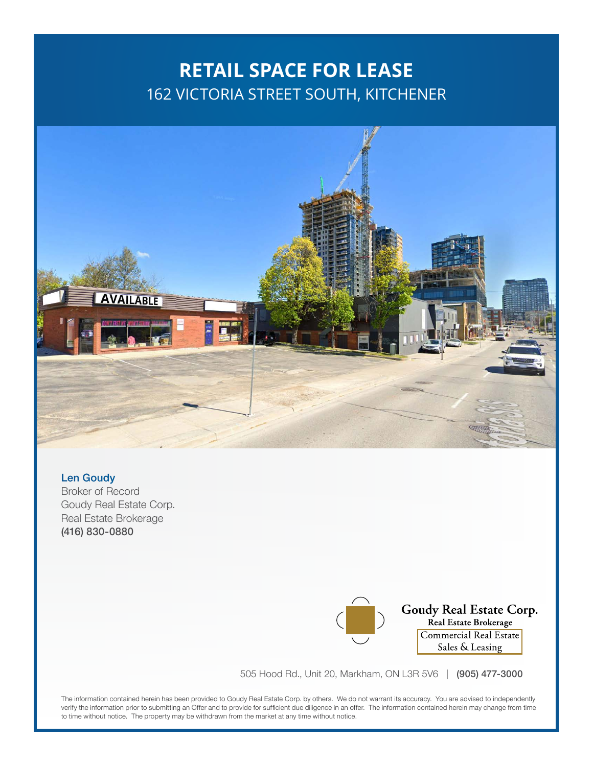### **RETAIL SPACE FOR LEASE** 162 VICTORIA STREET SOUTH, KITCHENER



#### Len Goudy

Broker of Record Goudy Real Estate Corp. Real Estate Brokerage (416) 830-0880

Goudy Real Estate Corp. Real Estate Brokerage Commercial Real Estate Sales & Leasing

505 Hood Rd., Unit 20, Markham, ON L3R 5V6 | (905) 477-3000

The information contained herein has been provided to Goudy Real Estate Corp. by others. We do not warrant its accuracy. You are advised to independently verify the information prior to submitting an Offer and to provide for sufficient due diligence in an offer. The information contained herein may change from time to time without notice. The property may be withdrawn from the market at any time without notice.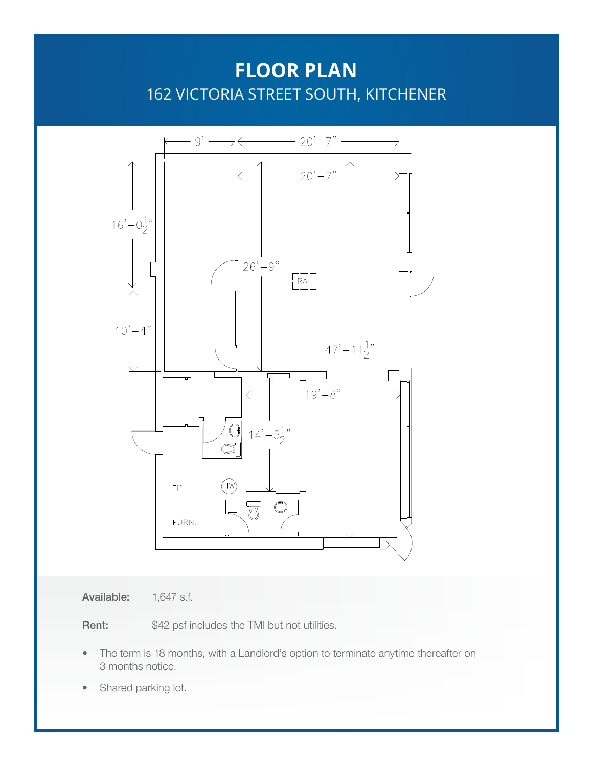## **FLOOR PLAN** 162 VICTORIA STREET SOUTH, KITCHENER



Available: 1,647 s.f.

Rent: \$42 psf includes the TMI but not utilities.

- The term is 18 months, with a Landlord's option to terminate anytime thereafter on 3 months notice.
- Shared parking lot.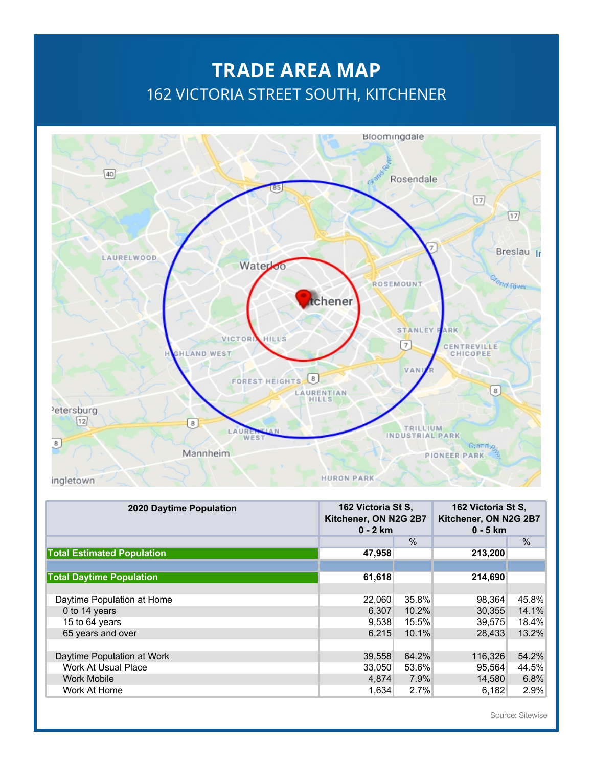# **TRADE AREA MAP** 162 VICTORIA STREET SOUTH, KITCHENER



| 2020 Daytime Population           | 162 Victoria St S,<br>Kitchener, ON N2G 2B7<br>$0 - 2$ km |       | 162 Victoria St S,<br>Kitchener, ON N2G 2B7<br>$0 - 5$ km |               |
|-----------------------------------|-----------------------------------------------------------|-------|-----------------------------------------------------------|---------------|
|                                   |                                                           | $\%$  |                                                           | $\frac{0}{0}$ |
| <b>Total Estimated Population</b> | 47,958                                                    |       | 213,200                                                   |               |
|                                   |                                                           |       |                                                           |               |
| <b>Total Daytime Population</b>   | 61,618                                                    |       | 214,690                                                   |               |
|                                   |                                                           |       |                                                           |               |
| Daytime Population at Home        | 22,060                                                    | 35.8% | 98,364                                                    | 45.8%         |
| 0 to 14 years                     | 6,307                                                     | 10.2% | 30,355                                                    | 14.1%         |
| 15 to 64 years                    | 9,538                                                     | 15.5% | 39,575                                                    | 18.4%         |
| 65 years and over                 | 6.215                                                     | 10.1% | 28,433                                                    | 13.2%         |
|                                   |                                                           |       |                                                           |               |
| Daytime Population at Work        | 39,558                                                    | 64.2% | 116,326                                                   | 54.2%         |
| Work At Usual Place               | 33,050                                                    | 53.6% | 95,564                                                    | 44.5%         |
| <b>Work Mobile</b>                | 4,874                                                     | 7.9%  | 14,580                                                    | 6.8%          |
| Work At Home                      | 1,634                                                     | 2.7%  | 6.182                                                     | 2.9%          |

Source: Sitewise